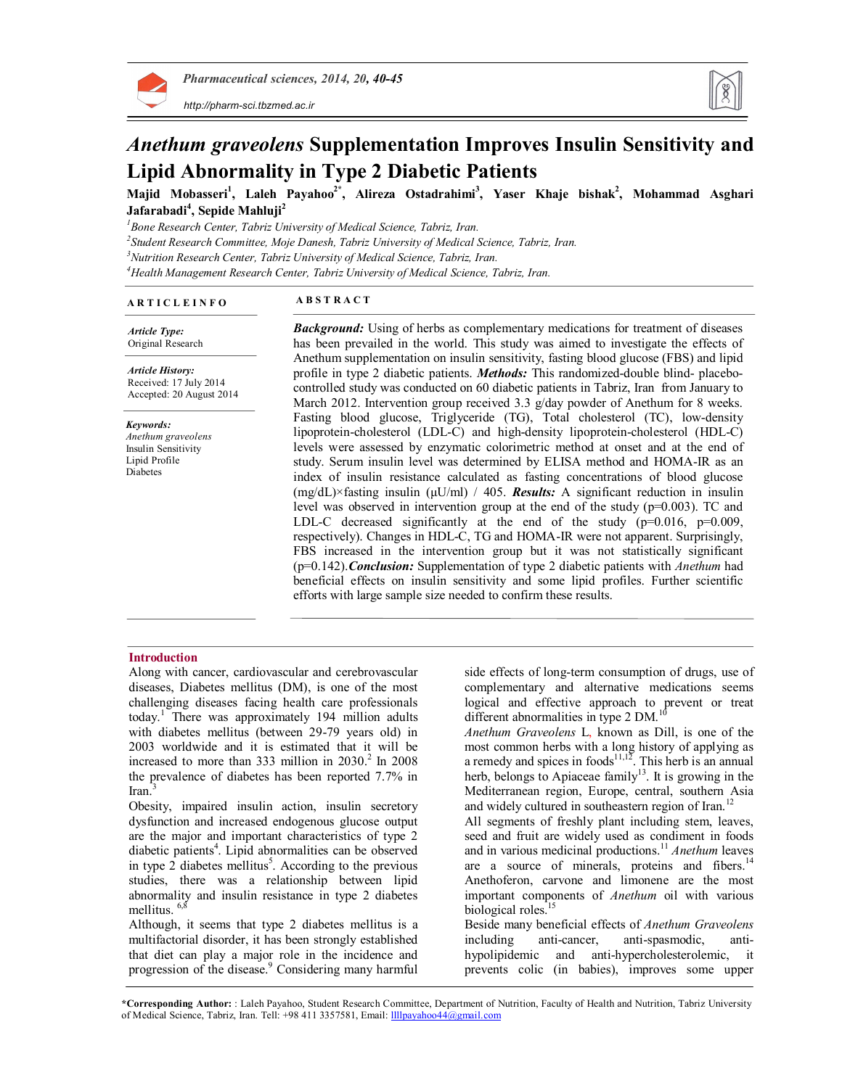

*http://pharm-sci.tbzmed.ac.ir*



# *Anethum graveolens* **Supplementation Improves Insulin Sensitivity and Lipid Abnormality in Type 2 Diabetic Patients**

**Majid Mobasseri<sup>1</sup> , Laleh Payahoo2\*, Alireza Ostadrahimi<sup>3</sup> , Yaser Khaje bishak<sup>2</sup> , Mohammad Asghari Jafarabadi<sup>4</sup> , Sepide Mahluji<sup>2</sup>**

*Bone Research Center, Tabriz University of Medical Science, Tabriz, Iran. Student Research Committee, Moje Danesh, Tabriz University of Medical Science, Tabriz, Iran. Nutrition Research Center, Tabriz University of Medical Science, Tabriz, Iran. Health Management Research Center, Tabriz University of Medical Science, Tabriz, Iran.*

# **A R T I C L E I N F O A B S T R A C T**

*Article Type:* Original Research

*Article History:* Received: 17 July 2014 Accepted: 20 August 2014

*Keywords: Anethum graveolens* Insulin Sensitivity Lipid Profile Diabetes

*Background:* Using of herbs as complementary medications for treatment of diseases has been prevailed in the world. This study was aimed to investigate the effects of Anethum supplementation on insulin sensitivity, fasting blood glucose (FBS) and lipid profile in type 2 diabetic patients. *Methods:* This randomized-double blind- placebocontrolled study was conducted on 60 diabetic patients in Tabriz, Iran from January to March 2012. Intervention group received 3.3 g/day powder of Anethum for 8 weeks. Fasting blood glucose, Triglyceride (TG), Total cholesterol (TC), low-density lipoprotein-cholesterol (LDL-C) and high-density lipoprotein-cholesterol (HDL-C) levels were assessed by enzymatic colorimetric method at onset and at the end of study. Serum insulin level was determined by ELISA method and HOMA-IR as an index of insulin resistance calculated as fasting concentrations of blood glucose (mg/dL)×fasting insulin (μU/ml) / 405. *Results:* A significant reduction in insulin level was observed in intervention group at the end of the study  $(p=0.003)$ . TC and LDL-C decreased significantly at the end of the study  $(p=0.016, p=0.009,$ respectively). Changes in HDL-C, TG and HOMA-IR were not apparent. Surprisingly, FBS increased in the intervention group but it was not statistically significant (p=0.142).*Conclusion:* Supplementation of type 2 diabetic patients with *Anethum* had beneficial effects on insulin sensitivity and some lipid profiles. Further scientific efforts with large sample size needed to confirm these results.

# **Introduction**

Along with cancer, cardiovascular and cerebrovascular diseases, Diabetes mellitus (DM), is one of the most challenging diseases facing health care professionals today.<sup>1</sup> There was approximately 194 million adults with diabetes mellitus (between 29-79 years old) in 2003 worldwide and it is estimated that it will be increased to more than 333 million in 2030. 2 In 2008 the prevalence of diabetes has been reported 7.7% in Iran. 3

Obesity, impaired insulin action, insulin secretory dysfunction and increased endogenous glucose output are the major and important characteristics of type 2 diabetic patients<sup>4</sup>. Lipid abnormalities can be observed in type  $2$  diabetes mellitus<sup>5</sup>. According to the previous studies, there was a relationship between lipid abnormality and insulin resistance in type 2 diabetes mellitus. <sup>6,8</sup>

Although, it seems that type 2 diabetes mellitus is a multifactorial disorder, it has been strongly established that diet can play a major role in the incidence and progression of the disease. <sup>9</sup> Considering many harmful side effects of long-term consumption of drugs, use of complementary and alternative medications seems logical and effective approach to prevent or treat different abnormalities in type 2 DM.<sup>10</sup>

*Anethum Graveolens* L, known as Dill, is one of the most common herbs with a long history of applying as a remedy and spices in foods $11,12$ . This herb is an annual herb, belongs to Apiaceae family<sup>13</sup>. It is growing in the Mediterranean region, Europe, central, southern Asia and widely cultured in southeastern region of Iran.<sup>12</sup>

All segments of freshly plant including stem, leaves, seed and fruit are widely used as condiment in foods and in various medicinal productions. <sup>11</sup> *Anethum* leaves are a source of minerals, proteins and fibers.<sup>14</sup> Anethoferon, carvone and limonene are the most important components of *Anethum* oil with various biological roles.<sup>15</sup>

Beside many beneficial effects of *Anethum Graveolens* including anti-cancer, anti-spasmodic, antihypolipidemic and anti-hypercholesterolemic, it prevents colic (in babies), improves some upper

**\*Corresponding Author:** : Laleh Payahoo, Student Research Committee, Department of Nutrition, Faculty of Health and Nutrition, Tabriz University of Medical Science, Tabriz, Iran. Tell: +98 411 3357581, Email: llllpayahoo44@gmail.com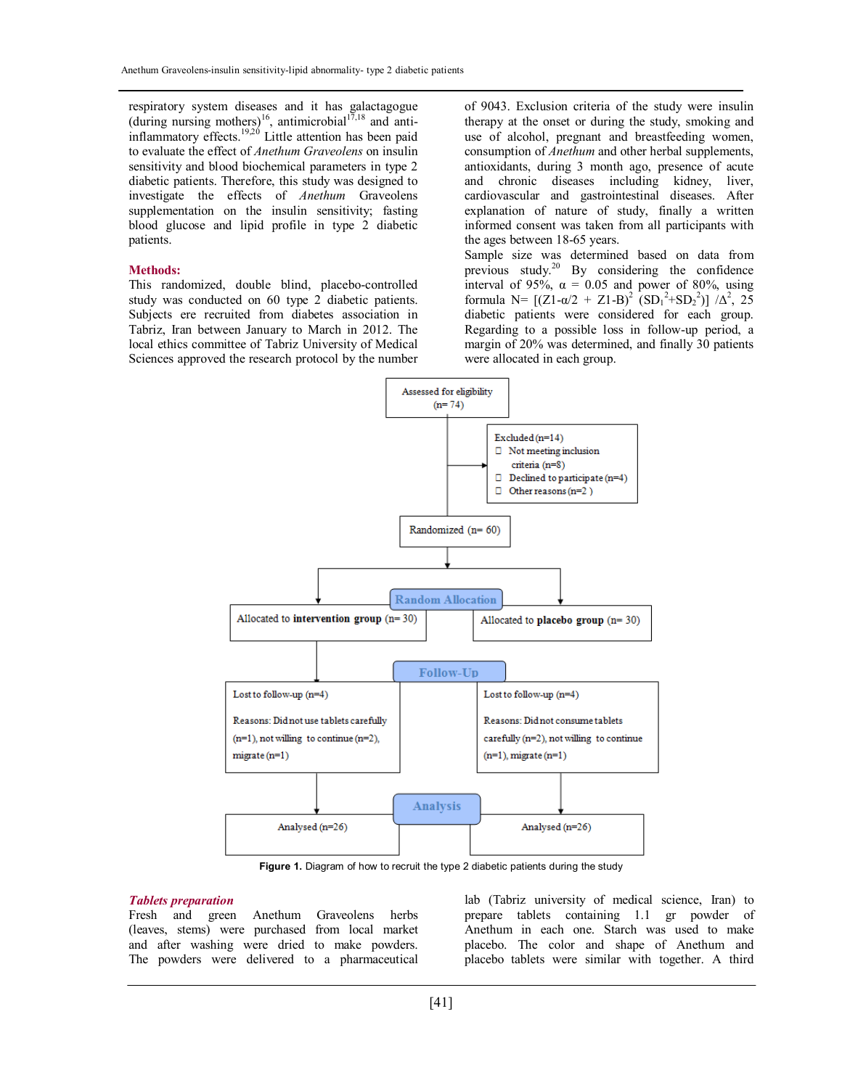respiratory system diseases and it has galactagogue (during nursing mothers)<sup>16</sup>, antimicrobial<sup>17,18</sup> and antiinflammatory effects.<sup>19,20</sup> Little attention has been paid to evaluate the effect of *Anethum Graveolens* on insulin sensitivity and blood biochemical parameters in type 2 diabetic patients. Therefore, this study was designed to investigate the effects of *Anethum* Graveolens supplementation on the insulin sensitivity; fasting blood glucose and lipid profile in type 2 diabetic patients.

# **Methods:**

This randomized, double blind, placebo-controlled study was conducted on 60 type 2 diabetic patients. Subjects ere recruited from diabetes association in Tabriz, Iran between January to March in 2012. The local ethics committee of Tabriz University of Medical Sciences approved the research protocol by the number of 9043. Exclusion criteria of the study were insulin therapy at the onset or during the study, smoking and use of alcohol, pregnant and breastfeeding women, consumption of *Anethum* and other herbal supplements, antioxidants, during 3 month ago, presence of acute and chronic diseases including kidney, liver, cardiovascular and gastrointestinal diseases. After explanation of nature of study, finally a written informed consent was taken from all participants with the ages between 18-65 years.

Sample size was determined based on data from previous study.<sup>20</sup> By considering the confidence interval of 95%,  $\alpha = 0.05$  and power of 80%, using formula N=  $[(Z1-α/2 + Z1-B)^2 (SD_1^2+SD_2^2)] /Δ^2$ , 25 diabetic patients were considered for each group. Regarding to a possible loss in follow-up period, a margin of 20% was determined, and finally 30 patients were allocated in each group.



**Figure 1.** Diagram of how to recruit the type 2 diabetic patients during the study

# *Tablets preparation*

Fresh and green Anethum Graveolens herbs (leaves, stems) were purchased from local market and after washing were dried to make powders. The powders were delivered to a pharmaceutical

lab (Tabriz university of medical science, Iran) to prepare tablets containing 1.1 gr powder of Anethum in each one. Starch was used to make placebo. The color and shape of Anethum and placebo tablets were similar with together. A third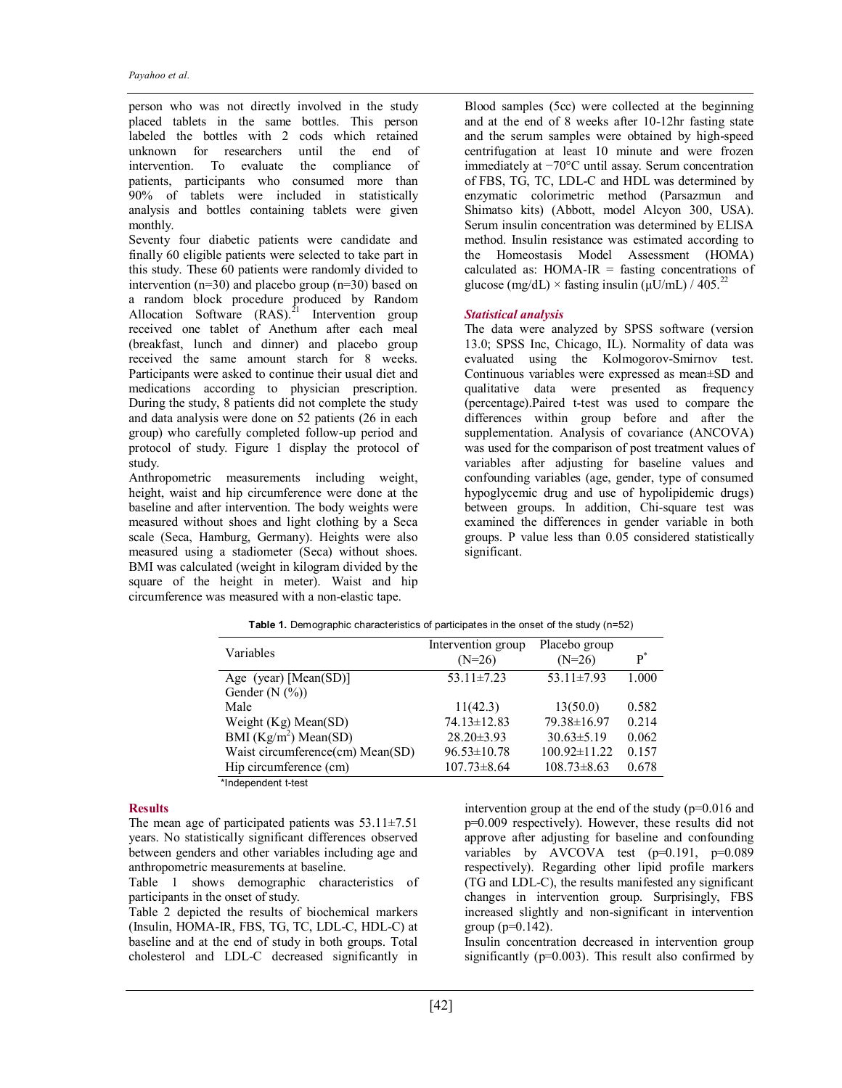person who was not directly involved in the study placed tablets in the same bottles. This person labeled the bottles with 2 cods which retained unknown for researchers until the end of intervention. To evaluate the compliance of patients, participants who consumed more than 90% of tablets were included in statistically analysis and bottles containing tablets were given monthly.

Seventy four diabetic patients were candidate and finally 60 eligible patients were selected to take part in this study. These 60 patients were randomly divided to intervention (n=30) and placebo group (n=30) based on a random block procedure produced by Random Allocation Software  $(RAS)^{21}$  Intervention group received one tablet of Anethum after each meal (breakfast, lunch and dinner) and placebo group received the same amount starch for 8 weeks. Participants were asked to continue their usual diet and medications according to physician prescription. During the study, 8 patients did not complete the study and data analysis were done on 52 patients (26 in each group) who carefully completed follow-up period and protocol of study. Figure 1 display the protocol of study.

Anthropometric measurements including weight, height, waist and hip circumference were done at the baseline and after intervention. The body weights were measured without shoes and light clothing by a Seca scale (Seca, Hamburg, Germany). Heights were also measured using a stadiometer (Seca) without shoes. BMI was calculated (weight in kilogram divided by the square of the height in meter). Waist and hip circumference was measured with a non-elastic tape.

Blood samples (5cc) were collected at the beginning and at the end of 8 weeks after 10-12hr fasting state and the serum samples were obtained by high-speed centrifugation at least 10 minute and were frozen immediately at −70°C until assay. Serum concentration of FBS, TG, TC, LDL-C and HDL was determined by enzymatic colorimetric method (Parsazmun and Shimatso kits) (Abbott, model Alcyon 300, USA). Serum insulin concentration was determined by ELISA method. Insulin resistance was estimated according to the Homeostasis Model Assessment (HOMA) calculated as:  $HOMA-IR =$  fasting concentrations of glucose (mg/dL)  $\times$  fasting insulin ( $\mu$ U/mL) / 405.<sup>22</sup>

# *Statistical analysis*

The data were analyzed by SPSS software (version 13.0; SPSS Inc, Chicago, IL). Normality of data was evaluated using the Kolmogorov-Smirnov test. Continuous variables were expressed as mean±SD and qualitative data were presented as frequency (percentage).Paired t-test was used to compare the differences within group before and after the supplementation. Analysis of covariance (ANCOVA) was used for the comparison of post treatment values of variables after adjusting for baseline values and confounding variables (age, gender, type of consumed hypoglycemic drug and use of hypolipidemic drugs) between groups. In addition, Chi-square test was examined the differences in gender variable in both groups. P value less than 0.05 considered statistically significant.

|                                  | Intervention group | Placebo group      |       |
|----------------------------------|--------------------|--------------------|-------|
| Variables                        | $(N=26)$           | $(N=26)$           | $P^*$ |
| Age (year) [Mean(SD)]            | $53.11 \pm 7.23$   | 53.11 $\pm$ 7.93   | 1.000 |
| Gender $(N$ $(\%)$               |                    |                    |       |
| Male                             | 11(42.3)           | 13(50.0)           | 0.582 |
| Weight $(Kg)$ Mean $(SD)$        | $74.13 \pm 12.83$  | 79.38±16.97        | 0.214 |
| BMI $(Kg/m^2)$ Mean(SD)          | $28.20 \pm 3.93$   | $30.63 \pm 5.19$   | 0.062 |
| Waist circumference(cm) Mean(SD) | $96.53 \pm 10.78$  | $100.92 \pm 11.22$ | 0.157 |
| Hip circumference (cm)           | $107.73 \pm 8.64$  | $108.73 \pm 8.63$  | 0.678 |
| *Independent t-test              |                    |                    |       |

**Table 1.** Demographic characteristics of participates in the onset of the study (n=52)

### **Results**

The mean age of participated patients was  $53.11 \pm 7.51$ years. No statistically significant differences observed between genders and other variables including age and anthropometric measurements at baseline.

Table 1 shows demographic characteristics of participants in the onset of study.

Table 2 depicted the results of biochemical markers (Insulin, HOMA-IR, FBS, TG, TC, LDL-C, HDL-C) at baseline and at the end of study in both groups. Total cholesterol and LDL-C decreased significantly in intervention group at the end of the study (p=0.016 and p=0.009 respectively). However, these results did not approve after adjusting for baseline and confounding variables by AVCOVA test  $(p=0.191, p=0.089)$ respectively). Regarding other lipid profile markers (TG and LDL-C), the results manifested any significant changes in intervention group. Surprisingly, FBS increased slightly and non-significant in intervention group ( $p=0.142$ ).

Insulin concentration decreased in intervention group significantly ( $p=0.003$ ). This result also confirmed by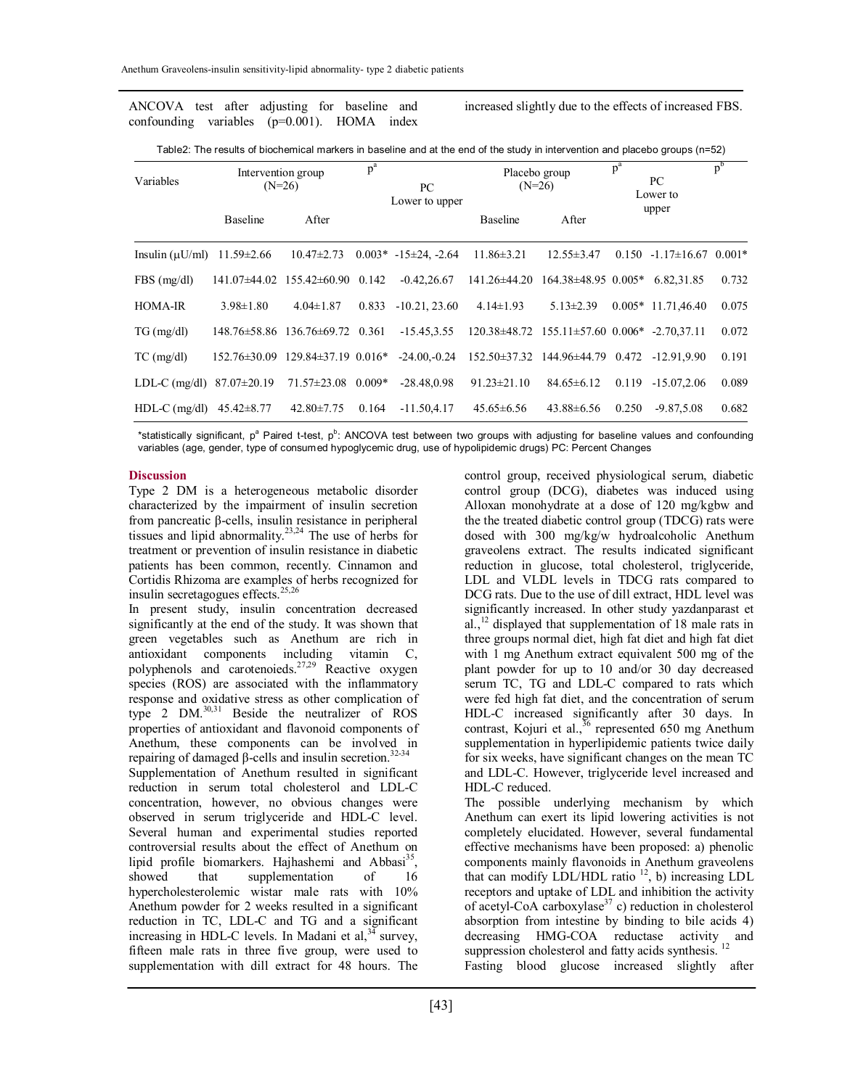ANCOVA test after adjusting for baseline and confounding variables (p=0.001). HOMA index increased slightly due to the effects of increased FBS.

Table2: The results of biochemical markers in baseline and at the end of the study in intervention and placebo groups (n=52)

| Variables                       |                  | Intervention group<br>$(N=26)$              | $p^a$<br>PC | Placebo group<br>$(N=26)$  |                    | $p^a$<br>PC<br>Lower to                                  |       | $p^{b}$                 |          |
|---------------------------------|------------------|---------------------------------------------|-------------|----------------------------|--------------------|----------------------------------------------------------|-------|-------------------------|----------|
|                                 | <b>Baseline</b>  | After                                       |             | Lower to upper             | <b>Baseline</b>    | A fter                                                   |       | upper                   |          |
| Insulin $(\mu U/ml)$            | $11.59 \pm 2.66$ | $10.47 \pm 2.73$                            |             | $0.003* -15 \pm 24. -2.64$ | $11.86 \pm 3.21$   | $12.55 \pm 3.47$                                         |       | $0.150 -1.17 \pm 16.67$ | $0.001*$ |
| $FBS$ (mg/dl)                   |                  | 141.07±44.02 155.42±60.90 0.142             |             | $-0.42, 26.67$             | 141.26±44.20       | $164.38\pm48.95$ 0.005*                                  |       | 6.82.31.85              | 0.732    |
| HOMA-IR                         | $3.98 \pm 1.80$  | $4.04 \pm 1.87$                             | 0.833       | $-10.21, 23.60$            | $4.14 \pm 1.93$    | $5.13 \pm 2.39$                                          |       | $0.005*$ 11.71.46.40    | 0.075    |
| $TG \, (mg/dl)$                 |                  | 148.76 $\pm$ 58.86 136.76 $\pm$ 69.72 0.361 |             | $-15.45, 3.55$             |                    | $120.38\pm48.72$ $155.11\pm57.60$ $0.006*$ $-2.70.37.11$ |       |                         | 0.072    |
| $TC$ (mg/dl)                    | $152.76\pm30.09$ | $129.84\pm37.19$ 0.016*                     |             | $-24.00,-0.24$             | $152.50 \pm 37.32$ | 144.96±44.79 0.472 -12.91.9.90                           |       |                         | 0.191    |
| LDL-C (mg/dl) $87.07 \pm 20.19$ |                  | $71.57 \pm 23.08$ 0.009*                    |             | $-28.48.0.98$              | $91.23 \pm 21.10$  | $84.65 \pm 6.12$                                         | 0.119 | $-15.07.2.06$           | 0.089    |
| HDL-C (mg/dl) $45.42 \pm 8.77$  |                  | $42.80 \pm 7.75$                            | 0.164       | $-11.50.4.17$              | $45.65\pm 6.56$    | $43.88 \pm 6.56$                                         | 0.250 | $-9.87.5.08$            | 0.682    |

\*statistically significant, p<sup>a</sup> Paired t-test, p<sup>b</sup>: ANCOVA test between two groups with adjusting for baseline values and confounding variables (age, gender, type of consumed hypoglycemic drug, use of hypolipidemic drugs) PC: Percent Changes

# **Discussion**

Type 2 DM is a heterogeneous metabolic disorder characterized by the impairment of insulin secretion from pancreatic β-cells, insulin resistance in peripheral tissues and lipid abnormality.<sup>23,24</sup> The use of herbs for treatment or prevention of insulin resistance in diabetic patients has been common, recently. Cinnamon and Cortidis Rhizoma are examples of herbs recognized for insulin secretagogues effects. 25,26

In present study, insulin concentration decreased significantly at the end of the study. It was shown that green vegetables such as Anethum are rich in antioxidant components including vitamin C, polyphenols and carotenoieds.<sup>27,29</sup> Reactive oxygen species (ROS) are associated with the inflammatory response and oxidative stress as other complication of type 2 DM. 30,31 Beside the neutralizer of ROS properties of antioxidant and flavonoid components of Anethum, these components can be involved in repairing of damaged  $β$ -cells and insulin secretion.<sup>32-34</sup> Supplementation of Anethum resulted in significant reduction in serum total cholesterol and LDL-C concentration, however, no obvious changes were observed in serum triglyceride and HDL-C level. Several human and experimental studies reported controversial results about the effect of Anethum on lipid profile biomarkers. Hajhashemi and Abbasi<sup>35</sup>, showed that supplementation of 16 hypercholesterolemic wistar male rats with 10% Anethum powder for 2 weeks resulted in a significant reduction in TC, LDL-C and TG and a significant increasing in HDL-C levels. In Madani et al, $34$  survey, fifteen male rats in three five group, were used to supplementation with dill extract for 48 hours. The

control group, received physiological serum, diabetic control group (DCG), diabetes was induced using Alloxan monohydrate at a dose of 120 mg/kgbw and the the treated diabetic control group (TDCG) rats were dosed with 300 mg/kg/w hydroalcoholic Anethum graveolens extract. The results indicated significant reduction in glucose, total cholesterol, triglyceride, LDL and VLDL levels in TDCG rats compared to DCG rats. Due to the use of dill extract, HDL level was significantly increased. In other study yazdanparast et al., $^{12}$  displayed that supplementation of 18 male rats in three groups normal diet, high fat diet and high fat diet with 1 mg Anethum extract equivalent 500 mg of the plant powder for up to 10 and/or 30 day decreased serum TC, TG and LDL-C compared to rats which were fed high fat diet, and the concentration of serum HDL-C increased significantly after 30 days. In contrast, Kojuri et al., $36$  represented 650 mg Anethum supplementation in hyperlipidemic patients twice daily for six weeks, have significant changes on the mean TC and LDL-C. However, triglyceride level increased and HDL-C reduced.

The possible underlying mechanism by which Anethum can exert its lipid lowering activities is not completely elucidated. However, several fundamental effective mechanisms have been proposed: a) phenolic components mainly flavonoids in Anethum graveolens that can modify LDL/HDL ratio<sup>12</sup>, b) increasing LDL receptors and uptake of LDL and inhibition the activity of acetyl-CoA carboxylase<sup>37</sup> c) reduction in cholesterol absorption from intestine by binding to bile acids 4) decreasing HMG-COA reductase activity and suppression cholesterol and fatty acids synthesis.<sup>12</sup> Fasting blood glucose increased slightly after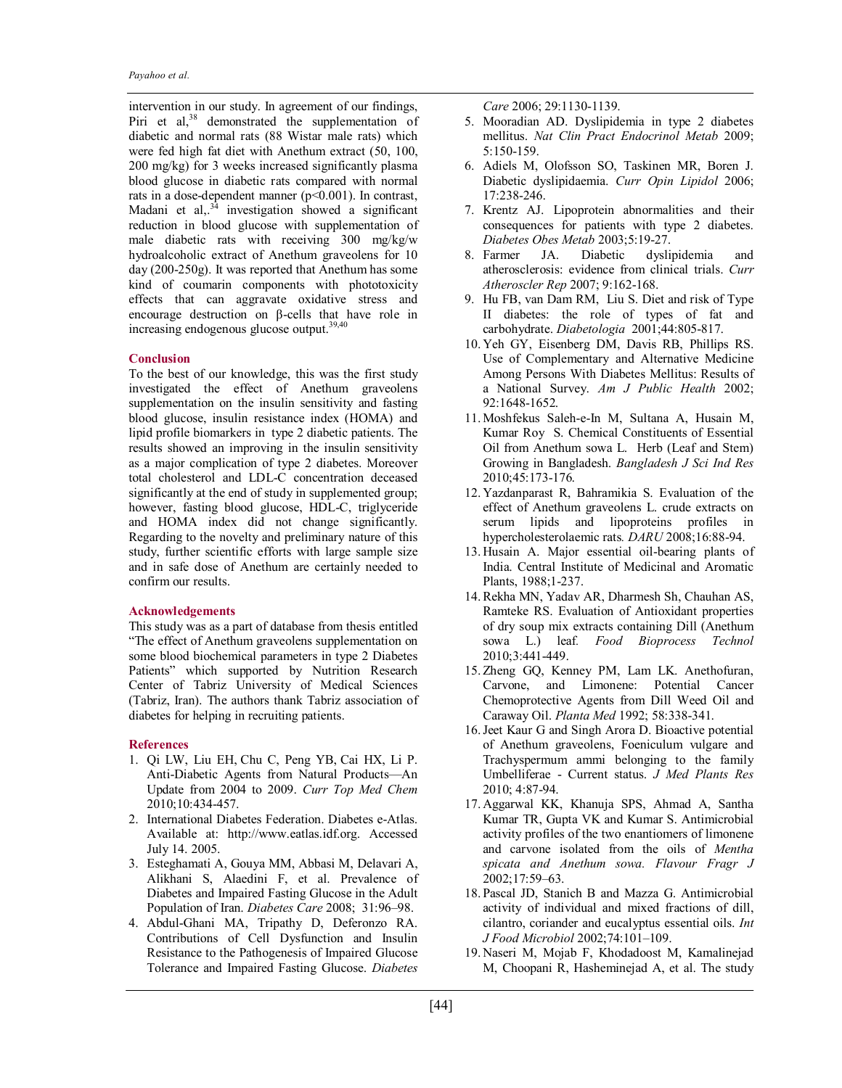intervention in our study. In agreement of our findings, Piri et al,<sup>38</sup> demonstrated the supplementation of diabetic and normal rats (88 Wistar male rats) which were fed high fat diet with Anethum extract (50, 100, 200 mg/kg) for 3 weeks increased significantly plasma blood glucose in diabetic rats compared with normal rats in a dose-dependent manner (p<0.001). In contrast, Madani et al,  $3<sup>3</sup>$  investigation showed a significant reduction in blood glucose with supplementation of male diabetic rats with receiving 300 mg/kg/w hydroalcoholic extract of Anethum graveolens for 10 day (200-250g). It was reported that Anethum has some kind of coumarin components with phototoxicity effects that can aggravate oxidative stress and encourage destruction on β-cells that have role in increasing endogenous glucose output. 39,40

# **Conclusion**

To the best of our knowledge, this was the first study investigated the effect of Anethum graveolens supplementation on the insulin sensitivity and fasting blood glucose, insulin resistance index (HOMA) and lipid profile biomarkers in type 2 diabetic patients. The results showed an improving in the insulin sensitivity as a major complication of type 2 diabetes. Moreover total cholesterol and LDL-C concentration deceased significantly at the end of study in supplemented group; however, fasting blood glucose, HDL-C, triglyceride and HOMA index did not change significantly. Regarding to the novelty and preliminary nature of this study, further scientific efforts with large sample size and in safe dose of Anethum are certainly needed to confirm our results.

#### **Acknowledgements**

This study was as a part of database from thesis entitled "The effect of Anethum graveolens supplementation on some blood biochemical parameters in type 2 Diabetes Patients" which supported by Nutrition Research Center of Tabriz University of Medical Sciences (Tabriz, Iran). The authors thank Tabriz association of diabetes for helping in recruiting patients.

#### **References**

- 1. Qi LW, Liu EH, Chu C, Peng YB, Cai HX, Li P. Anti-Diabetic Agents from Natural Products—An Update from 2004 to 2009. *Curr Top Med Chem* 2010;10:434-457.
- 2. International Diabetes Federation. Diabetes e-Atlas. Available at: http://www.eatlas.idf.org. Accessed July 14. 2005.
- 3. Esteghamati A, Gouya MM, Abbasi M, Delavari A, Alikhani S, Alaedini F, et al. Prevalence of Diabetes and Impaired Fasting Glucose in the Adult Population of Iran. *Diabetes Care* 2008; 31:96–98.
- 4. Abdul-Ghani MA, Tripathy D, Deferonzo RA. Contributions of Cell Dysfunction and Insulin Resistance to the Pathogenesis of Impaired Glucose Tolerance and Impaired Fasting Glucose. *Diabetes*

*Care* 2006; 29:1130-1139.

- 5. Mooradian AD. Dyslipidemia in type 2 diabetes mellitus. *Nat Clin Pract Endocrinol Metab* 2009; 5:150-159.
- 6. Adiels M, Olofsson SO, Taskinen MR, Boren J. Diabetic dyslipidaemia. *Curr Opin Lipidol* 2006; 17:238-246.
- 7. Krentz AJ. Lipoprotein abnormalities and their consequences for patients with type 2 diabetes. *Diabetes Obes Metab* 2003;5:19-27.
- JA. Diabetic dyslipidemia and atherosclerosis: evidence from clinical trials. *Curr Atheroscler Rep* 2007; 9:162-168.
- 9. Hu FB, van Dam RM, Liu S. Diet and risk of Type II diabetes: the role of types of fat and carbohydrate. *Diabetologia* 2001;44:805-817.
- 10. Yeh GY, Eisenberg DM, Davis RB, Phillips RS. Use of Complementary and Alternative Medicine Among Persons With Diabetes Mellitus: Results of a National Survey. *Am J Public Health* 2002; 92:1648-1652.
- 11. Moshfekus Saleh-e-In M, Sultana A, Husain M, Kumar Roy S. Chemical Constituents of Essential Oil from Anethum sowa L. Herb (Leaf and Stem) Growing in Bangladesh. *Bangladesh J Sci Ind Res* 2010;45:173-176.
- 12. Yazdanparast R, Bahramikia S. Evaluation of the effect of Anethum graveolens L. crude extracts on serum lipids and lipoproteins profiles in hypercholesterolaemic rats*. DARU* 2008;16:88-94.
- 13. Husain A. Major essential oil-bearing plants of India. Central Institute of Medicinal and Aromatic Plants, 1988;1-237.
- 14.Rekha MN, Yadav AR, Dharmesh Sh, Chauhan AS, Ramteke RS. Evaluation of Antioxidant properties of dry soup mix extracts containing Dill (Anethum sowa L.) leaf*. Food Bioprocess Technol* 2010;3:441-449.
- 15. Zheng GQ, Kenney PM, Lam LK. Anethofuran, Carvone, and Limonene: Potential Cancer Chemoprotective Agents from Dill Weed Oil and Caraway Oil. *Planta Med* 1992; 58:338-341.
- 16.Jeet Kaur G and Singh Arora D. Bioactive potential of Anethum graveolens, Foeniculum vulgare and Trachyspermum ammi belonging to the family Umbelliferae - Current status. *J Med Plants Res* 2010; 4:87-94.
- 17. Aggarwal KK, Khanuja SPS, Ahmad A, Santha Kumar TR, Gupta VK and Kumar S. Antimicrobial activity profiles of the two enantiomers of limonene and carvone isolated from the oils of *Mentha spicata and Anethum sowa. Flavour Fragr J* 2002;17:59–63.
- 18. Pascal JD, Stanich B and Mazza G. Antimicrobial activity of individual and mixed fractions of dill, cilantro, coriander and eucalyptus essential oils. *Int J Food Microbiol* 2002;74:101–109.
- 19. Naseri M, Mojab F, Khodadoost M, Kamalinejad M, Choopani R, Hasheminejad A, et al. The study